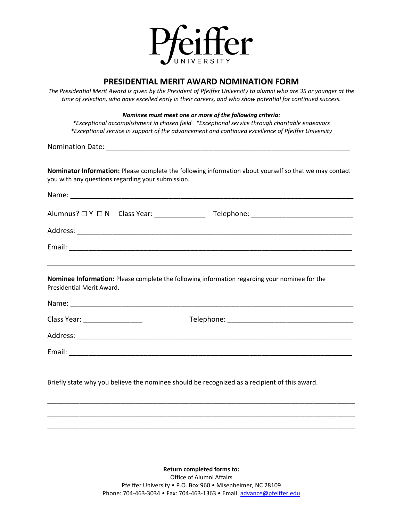

## **PRESIDENTIAL MERIT AWARD NOMINATION FORM**

*The Presidential Merit Award is given by the President of Pfeiffer University to alumni who are 35 or younger at the time of selection, who have excelled early in their careers, and who show potential for continued success.*

*Nominee must meet one or more of the following criteria:*

*\*Exceptional accomplishment in chosen field \*Exceptional service through charitable endeavors \*Exceptional service in support of the advancement and continued excellence of Pfeiffer University*

Nomination Date: **With an alleady of the UK and A** 

**Nominator Information:** Please complete the following information about yourself so that we may contact you with any questions regarding your submission.

|                           | <u> 1989 - Andrea Santa Andrea Andrea Andrea Andrea Andrea Andrea Andrea Andrea Andrea Andrea Andrea Andrea Andr</u> |
|---------------------------|----------------------------------------------------------------------------------------------------------------------|
| Presidential Merit Award. | Nominee Information: Please complete the following information regarding your nominee for the                        |
|                           |                                                                                                                      |
|                           |                                                                                                                      |
|                           |                                                                                                                      |
|                           |                                                                                                                      |
|                           |                                                                                                                      |
|                           | Briefly state why you believe the nominee should be recognized as a recipient of this award.                         |

**Return completed forms to:** Office of Alumni Affairs Pfeiffer University • P.O. Box 960 • Misenheimer, NC 28109 Phone: 704-463-3034 • Fax: 704-463-1363 • Email: [advance@pfeiffer.edu](mailto:advance@pfeiffer.edu)

\_\_\_\_\_\_\_\_\_\_\_\_\_\_\_\_\_\_\_\_\_\_\_\_\_\_\_\_\_\_\_\_\_\_\_\_\_\_\_\_\_\_\_\_\_\_\_\_\_\_\_\_\_\_\_\_\_\_\_\_\_\_\_\_\_\_\_ \_\_\_\_\_\_\_\_\_\_\_\_\_\_\_\_\_\_\_\_\_\_\_\_\_\_\_\_\_\_\_\_\_\_\_\_\_\_\_\_\_\_\_\_\_\_\_\_\_\_\_\_\_\_\_\_\_\_\_\_\_\_\_\_\_\_\_ \_\_\_\_\_\_\_\_\_\_\_\_\_\_\_\_\_\_\_\_\_\_\_\_\_\_\_\_\_\_\_\_\_\_\_\_\_\_\_\_\_\_\_\_\_\_\_\_\_\_\_\_\_\_\_\_\_\_\_\_\_\_\_\_\_\_\_